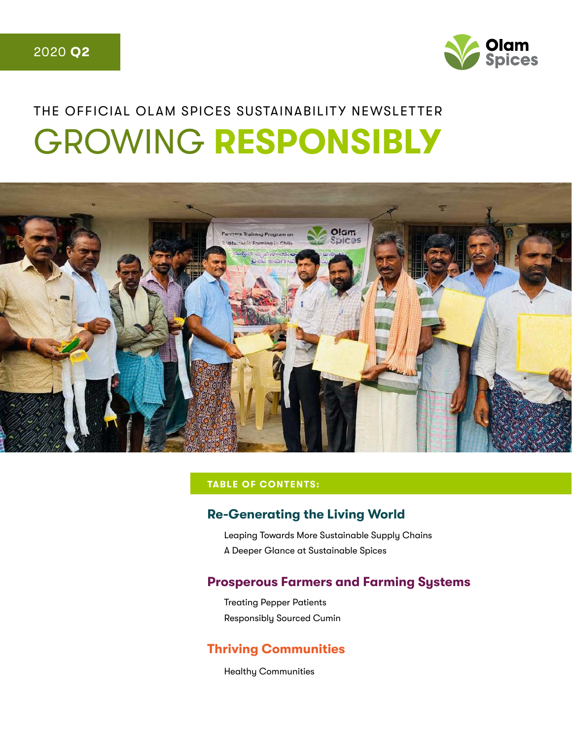

# THE OFFICIAL OLAM SPICES SUSTAINABILITY NEWSLETTER GROWING **RESPONSIBLY**



#### **TABLE OF CONTENTS:**

#### **Re-Generating the Living World**

Leaping Towards More Sustainable Supply Chains A Deeper Glance at Sustainable Spices

#### **Prosperous Farmers and Farming Systems**

Treating Pepper Patients Responsibly Sourced Cumin

#### **Thriving Communities**

Healthy Communities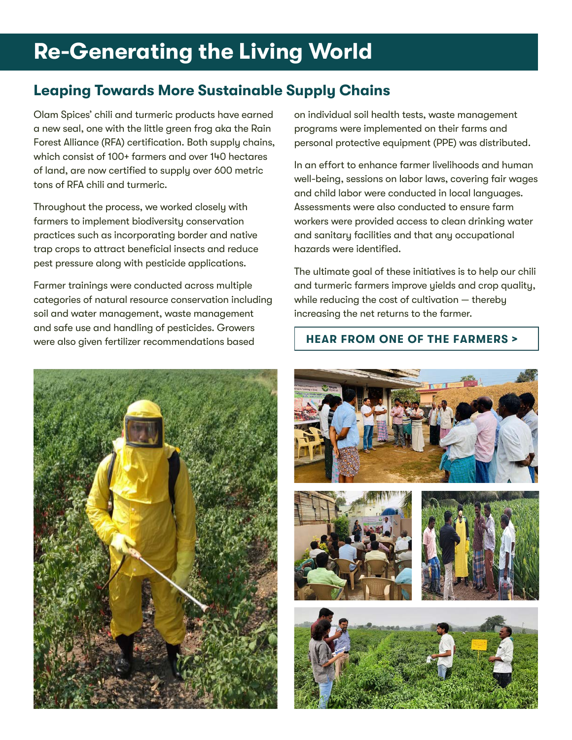## **Re-Generating the Living World**

## **Leaping Towards More Sustainable Supply Chains**

Olam Spices' chili and turmeric products have earned a new seal, one with the little green frog aka the Rain Forest Alliance (RFA) certification. Both supply chains, which consist of 100+ farmers and over 140 hectares of land, are now certified to supply over 600 metric tons of RFA chili and turmeric.

Throughout the process, we worked closely with farmers to implement biodiversity conservation practices such as incorporating border and native trap crops to attract beneficial insects and reduce pest pressure along with pesticide applications.

Farmer trainings were conducted across multiple categories of natural resource conservation including soil and water management, waste management and safe use and handling of pesticides. Growers were also given fertilizer recommendations based

on individual soil health tests, waste management programs were implemented on their farms and personal protective equipment (PPE) was distributed.

In an effort to enhance farmer livelihoods and human well-being, sessions on labor laws, covering fair wages and child labor were conducted in local languages. Assessments were also conducted to ensure farm workers were provided access to clean drinking water and sanitary facilities and that any occupational hazards were identified.

The ultimate goal of these initiatives is to help our chili and turmeric farmers improve yields and crop quality, while reducing the cost of cultivation - thereby increasing the net returns to the farmer.

#### **[H](https://vimeo.com/435918555)[EAR FROM ONE OF THE FARMERS](https://www.youtube.com/watch?v=JyTVdStp3-k&feature=youtu.be) >**



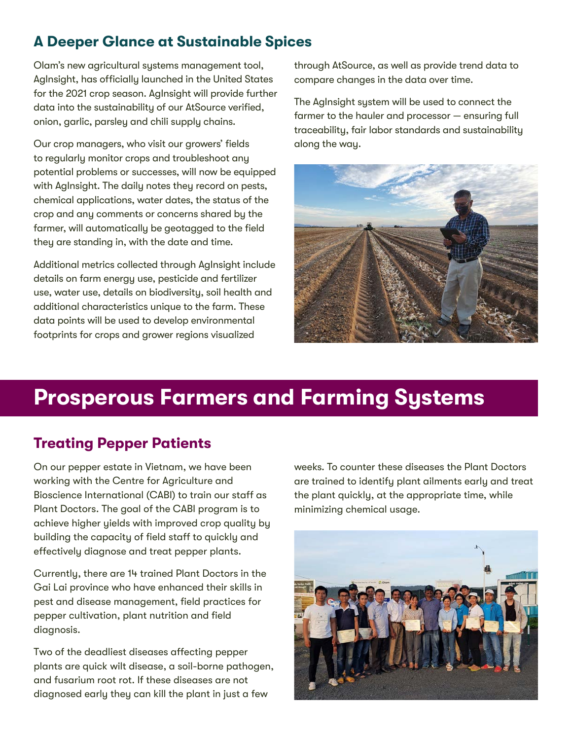## **A Deeper Glance at Sustainable Spices**

Olam's new agricultural systems management tool, AgInsight, has officially launched in the United States for the 2021 crop season. AgInsight will provide further data into the sustainability of our AtSource verified, onion, garlic, parsley and chili supply chains.

Our crop managers, who visit our growers' fields to regularly monitor crops and troubleshoot any potential problems or successes, will now be equipped with AgInsight. The daily notes they record on pests, chemical applications, water dates, the status of the crop and any comments or concerns shared by the farmer, will automatically be geotagged to the field they are standing in, with the date and time.

Additional metrics collected through AgInsight include details on farm energy use, pesticide and fertilizer use, water use, details on biodiversity, soil health and additional characteristics unique to the farm. These data points will be used to develop environmental footprints for crops and grower regions visualized

through AtSource, as well as provide trend data to compare changes in the data over time.

The AgInsight system will be used to connect the farmer to the hauler and processor — ensuring full traceability, fair labor standards and sustainability along the way.



## **Prosperous Farmers and Farming Systems**

## **Treating Pepper Patients**

On our pepper estate in Vietnam, we have been working with the Centre for Agriculture and Bioscience International (CABI) to train our staff as Plant Doctors. The goal of the CABI program is to achieve higher yields with improved crop quality by building the capacity of field staff to quickly and effectively diagnose and treat pepper plants.

Currently, there are 14 trained Plant Doctors in the Gai Lai province who have enhanced their skills in pest and disease management, field practices for pepper cultivation, plant nutrition and field diagnosis.

Two of the deadliest diseases affecting pepper plants are quick wilt disease, a soil-borne pathogen, and fusarium root rot. If these diseases are not diagnosed early they can kill the plant in just a few

weeks. To counter these diseases the Plant Doctors are trained to identify plant ailments early and treat the plant quickly, at the appropriate time, while minimizing chemical usage.